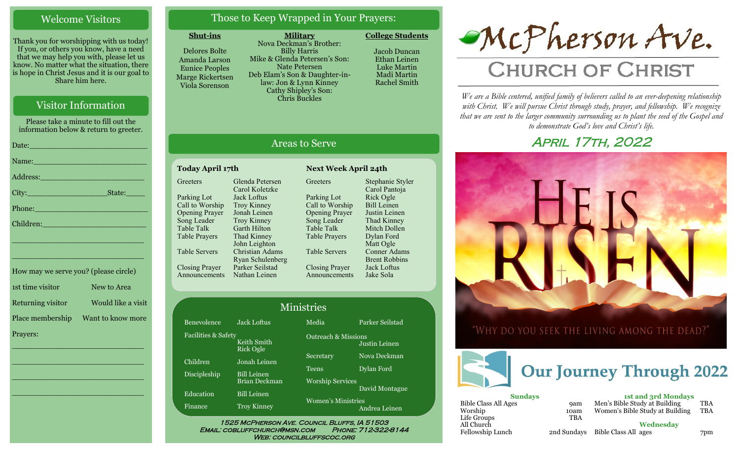# Welcome Visitors

Thank you for worshipping with us today! If you, or others you know, have a need that we may help you with, please let us know. No matter what the situation, there is hope in Christ Jesus and it is our goal to Share him here.

# Visitor Information

Please take a minute to fill out the information below & return to greeter.

| Date: 2008 - 2008 - 2010 - 2010 - 2010 - 2011 - 2012 - 2012 - 2012 - 2013 - 2014 - 2014 - 2014 - 2014 - 2014 -                                                                                                                 |
|--------------------------------------------------------------------------------------------------------------------------------------------------------------------------------------------------------------------------------|
| Name: Name and the second contract of the second contract of the second contract of the second contract of the                                                                                                                 |
| Address: 2008 and 2008 and 2008 and 2008 and 2008 and 2008 and 2008 and 2008 and 2008 and 2008 and 2008 and 20                                                                                                                 |
|                                                                                                                                                                                                                                |
| Phone: New York Changes and The Changes of the Changes of the Changes of the Changes of the Changes of the Changes of the Changes of the Changes of the Changes of the Changes of the Changes of the Changes of the Changes of |
| Children: New York Children                                                                                                                                                                                                    |
| <u> 1989 - Johann John Stone, markin film yn y brenin y brenin y brenin y brenin y brenin y brenin y brenin y br</u>                                                                                                           |
|                                                                                                                                                                                                                                |

| How may we serve you? (please circle) |                    |
|---------------------------------------|--------------------|
| 1st time visitor                      | New to Area        |
| Returning visitor                     | Would like a visit |
| Place membership                      | Want to know more  |
| Prayers:                              |                    |

\_\_\_\_\_\_\_\_\_\_\_\_\_\_\_\_\_\_\_\_\_\_\_\_\_\_\_\_

 $\overline{\phantom{a}}$  , and the set of the set of the set of the set of the set of the set of the set of the set of the set of the set of the set of the set of the set of the set of the set of the set of the set of the set of the s

 $\overline{\phantom{a}}$  , and the set of the set of the set of the set of the set of the set of the set of the set of the set of the set of the set of the set of the set of the set of the set of the set of the set of the set of the s

\_\_\_\_\_\_\_\_\_\_\_\_\_\_\_\_\_\_\_\_\_\_\_\_\_\_\_\_

\_\_\_\_\_\_\_\_\_\_\_\_\_\_\_\_\_\_\_\_\_\_\_\_\_\_\_\_

# Those to Keep Wrapped in Your Prayers:

#### **Shut-ins**

**Greeters** 

Table Talk Table Prayers

Table Servers

Closing Prayer Announcements

Delores Bolte Amanda Larson Eunice Peoples Marge Rickertsen Viola Sorenson

**Military** Nova Deckman's Brother: Billy Harris Mike & Glenda Petersen's Son: Nate Petersen Deb Elam's Son & Daughter-inlaw: Jon & Lynn Kinney Cathy Shipley's Son: Chris Buckles

**College Students** 

Jacob Duncan Ethan Leinen Luke Martin Madi Martin Rachel Smith

# Areas to Serve

#### **Today April 17th Next Week April 24th** Parking Lot Call to Worship Opening Prayer Song Leader Glenda Petersen Carol Koletzke Jack Loftus Troy Kinney Jonah Leinen Troy Kinney Garth Hilton

Thad Kinney John Leighton Christian Adams Ryan Schulenberg Parker Seilstad Nathan Leinen Greeters Parking Lot Call to Worship Opening Prayer Song Leader Table Talk Table Prayers Table Servers Closing Prayer Announcements

Stephanie Styler Carol Pantoja Rick Ogle Bill Leinen Justin Leinen Thad Kinney Mitch Dollen Dylan Ford Matt Ogle Conner Adams Brent Robbins Jack Loftus Jake Sola

| <b>Ministries</b>   |                                              |                                |                 |  |
|---------------------|----------------------------------------------|--------------------------------|-----------------|--|
| Benevolence         | Jack Loftus                                  | Media                          | Parker Seilstad |  |
| Facilities & Safety | Keith Smith<br><b>Rick Ogle</b>              | <b>Outreach &amp; Missions</b> | Justin Leinen   |  |
| Children            | Jonah Leinen                                 | Secretary                      | Nova Deckman    |  |
| Discipleship        | <b>Bill Leinen</b>                           | <b>Teens</b>                   | Dylan Ford      |  |
|                     | Brian Deckman                                | <b>Worship Services</b>        | David Montague  |  |
| Education           | <b>Bill Leinen</b>                           | <b>Women's Ministries</b>      |                 |  |
| <b>Finance</b>      | <b>Troy Kinney</b>                           |                                | Andrea Leinen   |  |
|                     | 1525 MCPHERSON AVE. COUNCIL BLUFFS, IA 51503 |                                |                 |  |

Email: cobluffchurch@msn.com Phone: 712-322-8144 WEB: COUNCILBLUFFSCOC.ORG



# **CHURCH OF CHRIST**

*We are a Bible centered, unified family of believers called to an ever-deepening relationship*  with Christ. We will pursue Christ through study, prayer, and fellowship. We recognize *that we are sent to the larger community surrounding us to plant the seed of the Gospel and to demonstrate God's love and Christ's life.*

# April 17th, 2022



"WHY DO YOU SEEK THE LIVING AMONG THE DEAD?"



| <b>Sundays</b>              |             |  |  |
|-----------------------------|-------------|--|--|
| <b>Bible Class All Ages</b> | <b>9am</b>  |  |  |
| Worship                     | 10am        |  |  |
| Life Groups                 | <b>TBA</b>  |  |  |
| All Church                  |             |  |  |
| Fellowship Lunch            | 2nd Sundays |  |  |

**1st and 3rd Mondays** Men's Bible Study at Building TBA Women's Bible Study at Building TBA

**Wednesday** Bible Class All ages 7pm